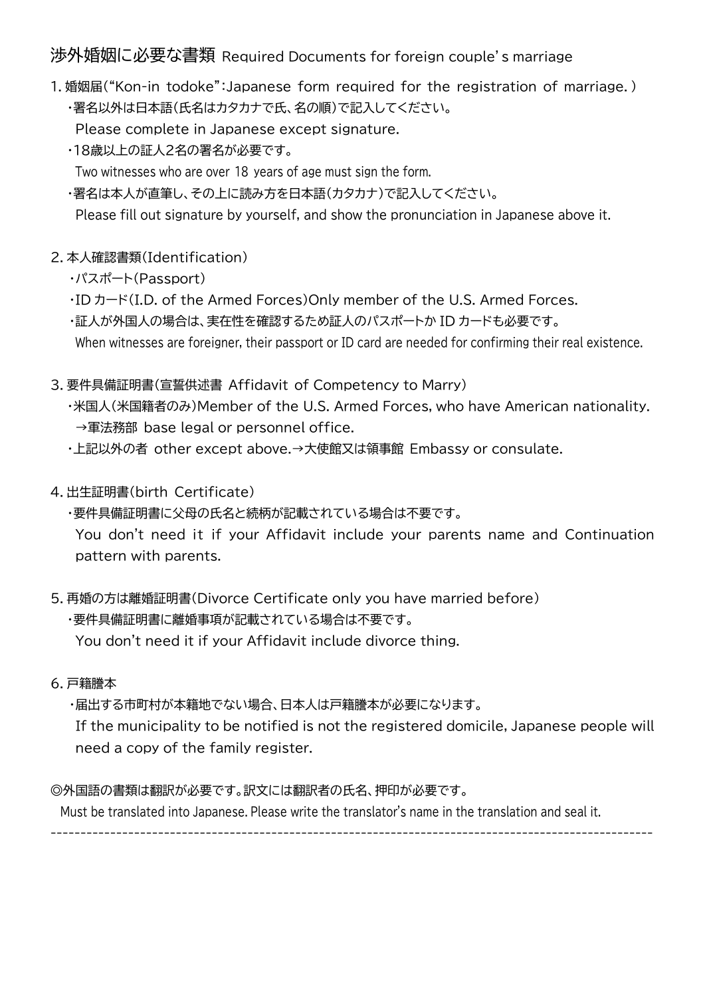渉外婚姻に必要な書類 Required Documents for foreign couple's marriage

1.婚姻届("Kon-in todoke":Japanese form required for the registration of marriage.) ・署名以外は日本語(氏名はカタカナで氏、名の順)で記入してください。

Please complete in Japanese except signature.

・18歳以上の証人2名の署名が必要です。

Two witnesses who are over 18 years of age must sign the form.

・署名は本人が直筆し、その上に読み方を日本語(カタカナ)で記入してください。

Please fill out signature by yourself, and show the pronunciation in Japanese above it.

## 2.本人確認書類(Identification)

- ・パスポート(Passport)
- ・ID カード(I.D. of the Armed Forces)Only member of the U.S. Armed Forces.
- ・証人が外国人の場合は、実在性を確認するため証人のパスポートか ID カードも必要です。
- When witnesses are foreigner, their passport or ID card are needed for confirming their real existence.
- 3.要件具備証明書(宣誓供述書 Affidavit of Competency to Marry)
	- ・米国人(米国籍者のみ)Member of the U.S. Armed Forces,who have American nationality. →軍法務部 base legal or personnel office.
	- ・上記以外の者 other except above.→大使館又は領事館 Embassy or consulate.
- 4.出生証明書(birth Certificate)
	- ・要件具備証明書に父母の氏名と続柄が記載されている場合は不要です。 You don't need it if your Affidavit include your parents name and Continuation pattern with parents.
- 5.再婚の方は離婚証明書(Divorce Certificate only you have married before)

・要件具備証明書に離婚事項が記載されている場合は不要です。

You don't need it if your Affidavit include divorce thing.

6.戸籍謄本

・届出する市町村が本籍地でない場合、日本人は戸籍謄本が必要になります。

 If the municipality to be notified is not the registered domicile, Japanese people will need a copy of the family register.

## ◎外国語の書類は翻訳が必要です。訳文には翻訳者の氏名、押印が必要です。

Must be translated into Japanese. Please write the translator's name in the translation and seal it.

-----------------------------------------------------------------------------------------------------